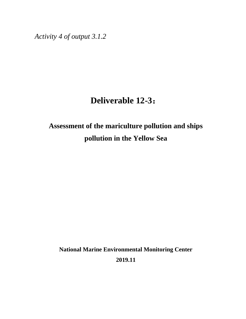*Activity 4 of output 3.1.2*

# **Deliverable 12-3**:

# **Assessment of the mariculture pollution and ships pollution in the Yellow Sea**

**National Marine Environmental Monitoring Center 2019.11**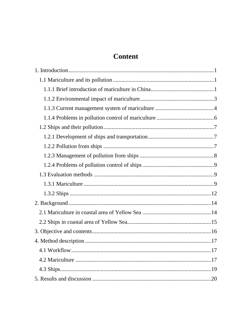# **Content**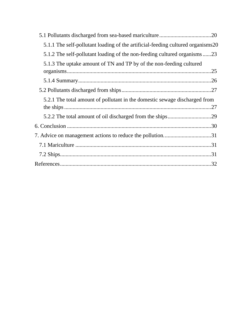| 5.1.1 The self-pollutant loading of the artificial-feeding cultured organisms20 |  |
|---------------------------------------------------------------------------------|--|
| 5.1.2 The self-pollutant loading of the non-feeding cultured organisms23        |  |
| 5.1.3 The uptake amount of TN and TP by of the non-feeding cultured             |  |
|                                                                                 |  |
|                                                                                 |  |
|                                                                                 |  |
| 5.2.1 The total amount of pollutant in the domestic sewage discharged from      |  |
|                                                                                 |  |
|                                                                                 |  |
|                                                                                 |  |
|                                                                                 |  |
|                                                                                 |  |
|                                                                                 |  |
|                                                                                 |  |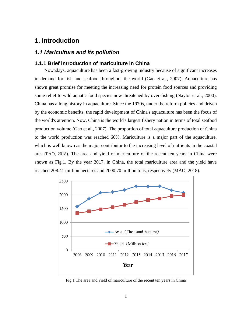# <span id="page-3-0"></span>**1. Introduction**

# <span id="page-3-1"></span>*1.1 Mariculture and its pollution*

### <span id="page-3-2"></span>**1.1.1 Brief introduction of mariculture in China**

Nowadays, aquaculture has been a fast-growing industry because of significant increases in demand for fish and seafood throughout the world (Gao et al., 2007). Aquaculture has shown great promise for meeting the increasing need for protein food sources and providing some relief to wild aquatic food species now threatened by over-fishing (Naylor et al., 2000). China has a long history in aquaculture. Since the 1970s, under the reform policies and driven by the economic benefits, the rapid development of China's aquaculture has been the focus of the world's attention. Now, China is the world's largest fishery nation in terms of total seafood production volume (Gao et al., 2007). The proportion of total aquaculture production of China to the world production was reached 60%. Mariculture is a major part of the aquaculture, which is well known as the major contributor to the increasing level of nutrients in the coastal area (FAO, 2018). The area and yield of mariculture of the recent ten years in China were shown as Fig.1. By the year 2017, in China, the total mariculture area and the yield have reached 208.41 million hectares and 2000.70 million tons, respectively (MAO, 2018).



Fig.1 The area and yield of mariculture of the recent ten years in China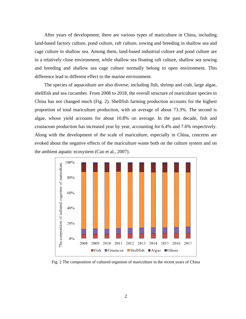After years of development, there are various types of mariculture in China, including land-based factory culture, pond culture, raft culture, sowing and breeding in shallow sea and cage culture in shallow sea. Among them, land-based industrial culture and pond culture are in a relatively close environment, while shallow sea floating raft culture, shallow sea sowing and breeding and shallow sea cage culture normally belong to open environment. This difference lead to different effect to the marine environment.

The species of aquaculture are also diverse, including fish, shrimp and crab, large algae, shellfish and sea cucumber. From 2008 to 2018, the overall structure of mariculture species in China has not changed much (Fig. 2). Shellfish farming production accounts for the highest proportion of total mariculture production, with an average of about 73.3%. The second is algae, whose yield accounts for about 10.8% on average. In the past decade, fish and crustacean production has increased year by year, accounting for 6.4% and 7.6% respectively. Along with the development of the scale of mariculture, especially in China, concerns are evoked about the negative effects of the mariculture waste both on the culture system and on the ambient aquatic ecosystem (Cao et al., 2007).



Fig. 2 The composition of cultured organism of mariculture in the recent years of China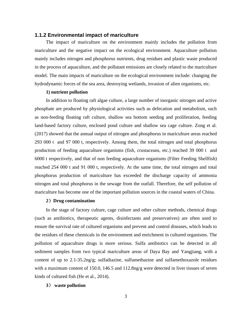### <span id="page-5-0"></span>**1.1.2 Environmental impact of mariculture**

The impact of mariculture on the environment mainly includes the pollution from mariculture and the negative impact on the ecological environment. Aquaculture pollution mainly includes nitrogen and phosphorus nutrients, drug residues and plastic waste produced in the process of aquaculture, and the pollutant emissions are closely related to the mariculture model. The main impacts of mariculture on the ecological environment include: changing the hydrodynamic forces of the sea area, destroying wetlands, invasion of alien organisms, etc.

#### **1) nutrient pollution**

In addition to floating raft algae culture, a large number of inorganic nitrogen and active phosphate are produced by physiological activities such as defecation and metabolism, such as non-feeding floating raft culture, shallow sea bottom seeding and proliferation, feeding land-based factory culture, enclosed pond culture and shallow sea cage culture. Zong et al. (2017) showed that the annual output of nitrogen and phosphorus in mariculture areas reached 293 000 t and 97 000 t, respectively. Among them, the total nitrogen and total phosphorus production of feeding aquaculture organisms (fish, crustaceans, etc.) reached 39 000 t and 6000 t respectively, and that of non feeding aquaculture organisms (Filter Feeding Shellfish) reached 254 000 t and 91 000 t, respectively. At the same time, the total nitrogen and total phosphorus production of mariculture has exceeded the discharge capacity of ammonia nitrogen and total phosphorus in the sewage from the outfall. Therefore, the self pollution of mariculture has become one of the important pollution sources in the coastal waters of China.

#### **2**)**Drug contamination**

In the stage of factory culture, cage culture and other culture methods, chemical drugs (such as antibiotics, therapeutic agents, disinfectants and preservatives) are often used to ensure the survival rate of cultured organisms and prevent and control diseases, which leads to the residues of these chemicals in the environment and enrichment in cultured organisms. The pollution of aquaculture drugs is more serious. Sulfa antibiotics can be detected in all sediment samples from two typical mariculture areas of Daya Bay and Yangjiang, with a content of up to 2.1-35.2ng/g; sulfadiazine, sulfamethazine and sulfamethoxazole residues with a maximum content of 150.0, 146.5 and 112.8ng/g were detected in liver tissues of seven kinds of cultured fish (He et al., 2014).

#### **3**) **waste pollution**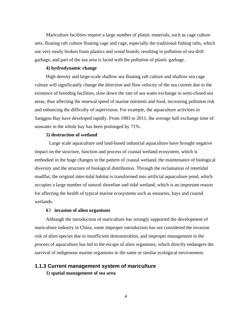Mariculture facilities require a large number of plastic materials, such as cage culture nets, floating raft culture floating cage and cage, especially the traditional fishing rafts, which use very easily broken foam plastics and wood boards, resulting in pollution of sea drift garbage, and part of the sea area is faced with the pollution of plastic garbage.

#### **4) hydrodynamic change**

High density and large-scale shallow sea floating raft culture and shallow sea cage culture will significantly change the direction and flow velocity of the sea current due to the existence of breeding facilities, slow down the rate of sea water exchange in semi-closed sea areas, thus affecting the renewal speed of marine nutrients and food, increasing pollution risk and enhancing the difficulty of supervision. For example, the aquaculture activities in Sanggou Bay have developed rapidly. From 1983 to 2011, the average half exchange time of seawater in the whole bay has been prolonged by 71%.

### **5) destruction of wetland**

Large scale aquaculture and land-based industrial aquaculture have brought negative impact on the structure, function and process of coastal wetland ecosystem, which is embodied in the huge changes in the pattern of coastal wetland, the maintenance of biological diversity and the structure of biological distribution. Through the reclamation of intertidal mudflat, the original inter-tidal habitat is transformed into artificial aquaculture pond, which occupies a large number of natural shoreline and tidal wetland, which is an important reason for affecting the health of typical marine ecosystems such as estuaries, bays and coastal wetlands.

### **6**) **invasion of alien organisms**

Although the introduction of mariculture has strongly supported the development of mariculture industry in China, some improper introduction has not considered the invasion risk of alien species due to insufficient demonstration, and improper management in the process of aquaculture has led to the escape of alien organisms, which directly endangers the survival of indigenous marine organisms in the same or similar ecological environment.

### <span id="page-6-0"></span>**1.1.3 Current management system of mariculture**

**1) spatial management of sea area**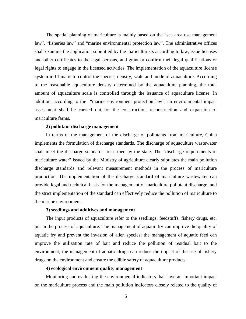The spatial planning of mariculture is mainly based on the "sea area use management law", "fisheries law" and "marine environmental protection law". The administrative offices shall examine the application submitted by the mariculturists according to law, issue licenses and other certificates to the legal persons, and grant or confirm their legal qualifications or legal rights to engage in the licensed activities. The implementation of the aquaculture license system in China is to control the species, density, scale and mode of aquaculture. According to the reasonable aquaculture density determined by the aquaculture planning, the total amount of aquaculture scale is controlled through the issuance of aquaculture license. In addition, according to the "marine environment protection law", an environmental impact assessment shall be carried out for the construction, reconstruction and expansion of mariculture farms.

### **2) pollutant discharge management**

In terms of the management of the discharge of pollutants from mariculture, China implements the formulation of discharge standards. The discharge of aquaculture wastewater shall meet the discharge standards prescribed by the state. The "discharge requirements of mariculture water" issued by the Ministry of agriculture clearly stipulates the main pollution discharge standards and relevant measurement methods in the process of mariculture production. The implementation of the discharge standard of mariculture wastewater can provide legal and technical basis for the management of mariculture pollutant discharge, and the strict implementation of the standard can effectively reduce the pollution of mariculture to the marine environment.

#### **3) seedlings and additives and management**

The input products of aquaculture refer to the seedlings, feedstuffs, fishery drugs, etc. put in the process of aquaculture. The management of aquatic fry can improve the quality of aquatic fry and prevent the invasion of alien species; the management of aquatic feed can improve the utilization rate of bait and reduce the pollution of residual bait to the environment; the management of aquatic drugs can reduce the impact of the use of fishery drugs on the environment and ensure the edible safety of aquaculture products.

### **4) ecological environment quality management**

Monitoring and evaluating the environmental indicators that have an important impact on the mariculture process and the main pollution indicators closely related to the quality of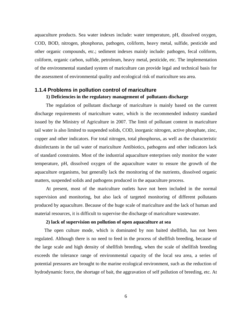aquaculture products. Sea water indexes include: water temperature, pH, dissolved oxygen, COD, BOD, nitrogen, phosphorus, pathogen, coliform, heavy metal, sulfide, pesticide and other organic compounds, etc.; sediment indexes mainly include: pathogen, fecal coliform, coliform, organic carbon, sulfide, petroleum, heavy metal, pesticide, etc. The implementation of the environmental standard system of mariculture can provide legal and technical basis for the assessment of environmental quality and ecological risk of mariculture sea area.

# <span id="page-8-0"></span>**1.1.4 Problems in pollution control of mariculture 1) Deficiencies in the regulatory management of pollutants discharge**

The regulation of pollutant discharge of mariculture is mainly based on the current discharge requirements of mariculture water, which is the recommended industry standard issued by the Ministry of Agriculture in 2007. The limit of pollutant content in mariculture tail water is also limited to suspended solids, COD, inorganic nitrogen, active phosphate, zinc, copper and other indicators. For total nitrogen, total phosphorus, as well as the characteristic disinfectants in the tail water of mariculture Antibiotics, pathogens and other indicators lack of standard constraints. Most of the industrial aquaculture enterprises only monitor the water temperature, pH, dissolved oxygen of the aquaculture water to ensure the growth of the aquaculture organisms, but generally lack the monitoring of the nutrients, dissolved organic matters, suspended solids and pathogens produced in the aquaculture process.

At present, most of the mariculture outlets have not been included in the normal supervision and monitoring, but also lack of targeted monitoring of different pollutants produced by aquaculture. Because of the huge scale of mariculture and the lack of human and material resources, it is difficult to supervise the discharge of mariculture wastewater.

### **2) lack of supervision on pollution of open aquaculture at sea**

The open culture mode, which is dominated by non baited shellfish, has not been regulated. Although there is no need to feed in the process of shellfish breeding, because of the large scale and high density of shellfish breeding, when the scale of shellfish breeding exceeds the tolerance range of environmental capacity of the local sea area, a series of potential pressures are brought to the marine ecological environment, such as the reduction of hydrodynamic force, the shortage of bait, the aggravation of self pollution of breeding, etc. At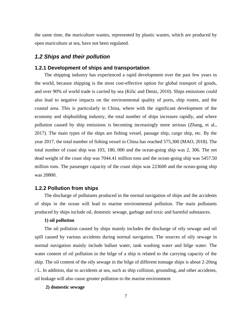the same time, the mariculture wastes, represented by plastic wastes, which are produced by open mariculture at sea, have not been regulated.

### <span id="page-9-0"></span>*1.2 Ships and their pollution*

### <span id="page-9-1"></span>**1.2.1 Development of ships and transportation**

The shipping industry has experienced a rapid development over the past few years in the world, because shipping is the most cost-effective option for global transport of goods, and over 90% of world trade is carried by sea (Kilic and Deniz, 2010). Ships emissions could also lead to negative impacts on the environmental quality of ports, ship routes, and the coastal area. This is particularly in China, where with the significant development of the economy and shipbuilding industry, the total number of ships increases rapidly, and where pollution caused by ship emissions is becoming increasingly more serious (Zhang, et al., 2017). The main types of the ships are fishing vessel, passage ship, cargo ship, etc. By the year 2017, the total number of fishing vessel in China has reached 575,300 (MAO, 2018). The total number of coast ship was 103, 180, 000 and the ocean-going ship was 2, 306. The net dead weight of the coast ship was 7044.41 million tons and the ocean-going ship was 5457.50 million tons. The passenger capacity of the coast ships was 223600 and the ocean-going ship was 20800.

### <span id="page-9-2"></span>**1.2.2 Pollution from ships**

The discharge of pollutants produced in the normal navigation of ships and the accidents of ships in the ocean will lead to marine environmental pollution. The main pollutants produced by ships include oil, domestic sewage, garbage and toxic and harmful substances.

#### **1) oil pollution**

The oil pollution caused by ships mainly includes the discharge of oily sewage and oil spill caused by various accidents during normal navigation. The sources of oily sewage in normal navigation mainly include ballast water, tank washing water and bilge water. The water content of oil pollution in the bilge of a ship is related to the carrying capacity of the ship. The oil content of the oily sewage in the bilge of different tonnage ships is about 2-20mg / L. In addition, due to accidents at sea, such as ship collision, grounding, and other accidents, oil leakage will also cause greater pollution to the marine environment

### **2) domestic sewage**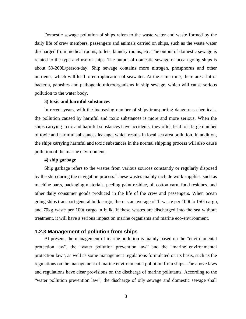Domestic sewage pollution of ships refers to the waste water and waste formed by the daily life of crew members, passengers and animals carried on ships, such as the waste water discharged from medical rooms, toilets, laundry rooms, etc. The output of domestic sewage is related to the type and use of ships. The output of domestic sewage of ocean going ships is about 50-200L/person/day. Ship sewage contains more nitrogen, phosphorus and other nutrients, which will lead to eutrophication of seawater. At the same time, there are a lot of bacteria, parasites and pathogenic microorganisms in ship sewage, which will cause serious pollution to the water body.

### **3) toxic and harmful substances**

In recent years, with the increasing number of ships transporting dangerous chemicals, the pollution caused by harmful and toxic substances is more and more serious. When the ships carrying toxic and harmful substances have accidents, they often lead to a large number of toxic and harmful substances leakage, which results in local sea area pollution. In addition, the ships carrying harmful and toxic substances in the normal shipping process will also cause pollution of the marine environment.

### **4) ship garbage**

Ship garbage refers to the wastes from various sources constantly or regularly disposed by the ship during the navigation process. These wastes mainly include work supplies, such as machine parts, packaging materials, peeling paint residue, oil cotton yarn, food residues, and other daily consumer goods produced in the life of the crew and passengers. When ocean going ships transport general bulk cargo, there is an average of 1t waste per 100t to 150t cargo, and 70kg waste per 100t cargo in bulk. If these wastes are discharged into the sea without treatment, it will have a serious impact on marine organisms and marine eco-environment.

### <span id="page-10-0"></span>**1.2.3 Management of pollution from ships**

At present, the management of marine pollution is mainly based on the "environmental protection law", the "water pollution prevention law" and the "marine environmental protection law", as well as some management regulations formulated on its basis, such as the regulations on the management of marine environmental pollution from ships. The above laws and regulations have clear provisions on the discharge of marine pollutants. According to the "water pollution prevention law", the discharge of oily sewage and domestic sewage shall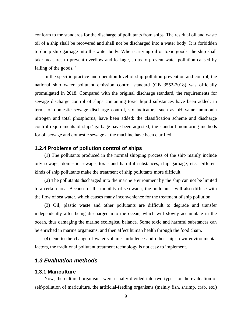conform to the standards for the discharge of pollutants from ships. The residual oil and waste oil of a ship shall be recovered and shall not be discharged into a water body. It is forbidden to dump ship garbage into the water body. When carrying oil or toxic goods, the ship shall take measures to prevent overflow and leakage, so as to prevent water pollution caused by falling of the goods. "

In the specific practice and operation level of ship pollution prevention and control, the national ship water pollutant emission control standard (GB 3552-2018) was officially promulgated in 2018. Compared with the original discharge standard, the requirements for sewage discharge control of ships containing toxic liquid substances have been added; in terms of domestic sewage discharge control, six indicators, such as pH value, ammonia nitrogen and total phosphorus, have been added; the classification scheme and discharge control requirements of ships' garbage have been adjusted; the standard monitoring methods for oil sewage and domestic sewage at the machine have been clarified.

### <span id="page-11-0"></span>**1.2.4 Problems of pollution control of ships**

(1) The pollutants produced in the normal shipping process of the ship mainly include oily sewage, domestic sewage, toxic and harmful substances, ship garbage, etc. Different kinds of ship pollutants make the treatment of ship pollutants more difficult.

(2) The pollutants discharged into the marine environment by the ship can not be limited to a certain area. Because of the mobility of sea water, the pollutants will also diffuse with the flow of sea water, which causes many inconvenience for the treatment of ship pollution.

(3) Oil, plastic waste and other pollutants are difficult to degrade and transfer independently after being discharged into the ocean, which will slowly accumulate in the ocean, thus damaging the marine ecological balance. Some toxic and harmful substances can be enriched in marine organisms, and then affect human health through the food chain.

(4) Due to the change of water volume, turbulence and other ship's own environmental factors, the traditional pollutant treatment technology is not easy to implement.

### <span id="page-11-1"></span>*1.3 Evaluation methods*

### <span id="page-11-2"></span>**1.3.1 Mariculture**

Now, the cultured organisms were usually divided into two types for the evaluation of self-pollution of mariculture, the artificial-feeding organisms (mainly fish, shrimp, crab, etc.)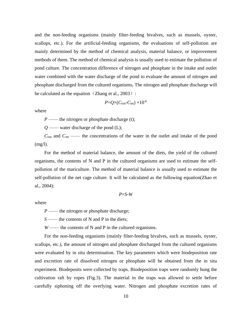and the non-feeding organisms (mainly filter-feeding bivalves, such as mussels, oyster, scallops, etc.). For the artificial-feeding organisms, the evaluations of self-pollution are mainly determined by the method of chemical analysis, material balance, or improvement methods of them. The method of chemical analysis is usually used to estimate the pollution of pond culture. The concentration difference of nitrogen and phosphate in the intake and outlet water combined with the water discharge of the pond to evaluate the amount of nitrogen and phosphate discharged from the cultured organisms**.** The nitrogen and phosphate discharge will be calculated as the equation (Zhang et al.,  $2003$ ):

$$
P = Q \times (C_{\text{out}} - C_{\text{int}}) \times 10^{-6}
$$

where

*P* —— the nitrogen or phosphate discharge (t);

*Q* —— water discharge of the pond (L);

*C*<sub>out</sub> and *C*<sub>int</sub> —— the concentrations of the water in the outlet and intake of the pond  $(mg/l)$ .

For the method of material balance, the amount of the diets, the yield of the cultured organisms, the contents of N and P in the cultured organisms are used to estimate the selfpollution of the mariculture. The method of material balance is usually used to estimate the self-pollution of the net cage culture. It will be calculated as the following equation(Zhao et al., 2004):

$$
P = S - W
$$

where

*P* —— the nitrogen or phosphate discharge;

*S* —— the contents of N and P in the diets;

*W* —— the contents of N and P in the cultured organisms.

For the non-feeding organisms (mainly filter-feeding bivalves, such as mussels, oyster, scallops, etc.), the amount of nitrogen and phosphate discharged from the cultured organisms were evaluated by in situ determination. The key parameters which were biodeposition rate and excretion rate of dissolved nitrogen or phosphate will be obtained from the in situ experiment. Biodeposits were collected by traps. Biodeposition traps were randomly hung the cultivation raft by ropes (Fig.3). The material in the traps was allowed to settle before carefully siphoning off the overlying water. Nitrogen and phosphate excretion rates of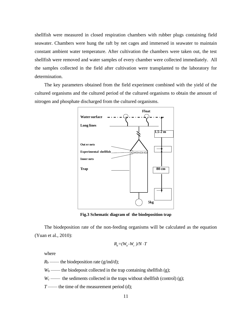shellfish were measured in closed respiration chambers with rubber plugs containing field seawater. Chambers were hung the raft by net cages and immersed in seawater to maintain constant ambient water temperature. After cultivation the chambers were taken out, the test shellfish were removed and water samples of every chamber were collected immediately. All the samples collected in the field after cultivation were transplanted to the laboratory for determination.

The key parameters obtained from the field experiment combined with the yield of the cultured organisms and the cultured period of the cultured organisms to obtain the amount of nitrogen and phosphate discharged from the cultured organisms.



**Fig.3 Schematic diagram of the biodeposition trap** 

The biodeposition rate of the non-feeding organisms will be calculated as the equation (Yuan et al., 2010):

$$
R_b = (W_b - W_c)/N \cdot T
$$

where

 $R_b$ —— the biodeposition rate (g/ind/d);

 $W_b$  —— the biodeposit collected in the trap containing shellfish (g);

 $W_c$  —— the sediments collected in the traps without shellfish (control) (g);

*T* —— the time of the measurement period (d);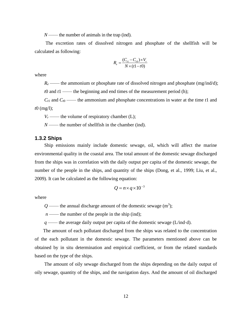*N* —— the number of animals in the trap (ind).

The excretion rates of dissolved nitrogen and phosphate of the shellfish will be calculated as following:

$$
R_e = \frac{(C_{t1} - C_{t0}) \times V_r}{N \times (t1 - t0)}
$$

where

 $R_e$ —— the ammonium or phosphate rate of dissolved nitrogen and phosphate (mg/ind/d); *t*0 and *t*1 —— the beginning and end times of the measurement period (h);

 $C_{t1}$  and  $C_{t0}$  —— the ammonium and phosphate concentrations in water at the time  $t1$  and *t*0 (mg/l);

 $V_r$ —— the volume of respiratory chamber (L);

*N* —— the number of shellfish in the chamber (ind).

### <span id="page-14-0"></span>**1.3.2 Ships**

Ship emissions mainly include domestic sewage, oil, which will affect the marine environmental quality in the coastal area. The total amount of the domestic sewage discharged from the ships was in correlation with the daily output per capita of the domestic sewage, the number of the people in the ships, and quantity of the ships (Dong, et al., 1999; Liu, et al., 2009). It can be calculated as the following equation:

$$
Q = n \times q \times 10^{-3}
$$

where

 $Q \longrightarrow$  the annual discharge amount of the domestic sewage  $(m^3)$ ;

 $n \rightarrow$  the number of the people in the ship (ind);

*q* —— the average daily output per capita of the domestic sewage (L/ind·d).

 The amount of each pollutant discharged from the ships was related to the concentration of the each pollutant in the domestic sewage. The parameters mentioned above can be obtained by in situ determination and empirical coefficient, or from the related standards based on the type of the ships.

The amount of oily sewage discharged from the ships depending on the daily output of oily sewage, quantity of the ships, and the navigation days. And the amount of oil discharged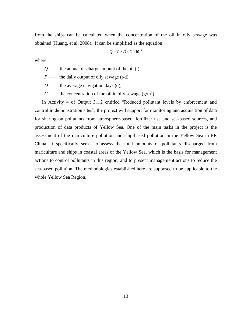from the ships can be calculated when the concentration of the oil in oily sewage was obtained (Huang, et al, 2008). It can be simplified as the equation:

$$
Q = P \times D \times C \times 10^{-6}
$$

where

 $Q \longrightarrow$  the annual discharge amount of the oil (t);

*P* —— the daily output of oily sewage (t/d);

*D* —— the average navigation days (d);

*C* —— the concentration of the oil in oily sewage  $(g/m<sup>3</sup>)$ .

 In Activity 4 of Output 3.1.2 entitled "Reduced pollutant levels by enforcement and control in demonstration sites", the project will support for monitoring and acquisition of data for sharing on pollutants from atmosphere-based, fertilizer use and sea-based sources, and production of data products of Yellow Sea. One of the main tasks in the project is the assessment of the mariculture pollution and ship-based pollution in the Yellow Sea in PR China. It specifically seeks to assess the total amounts of pollutants discharged from mariculture and ships in coastal areas of the Yellow Sea, which is the basis for management actions to control pollutants in this region, and to present management actions to reduce the sea-based pollution. The methodologies established here are supposed to be applicable to the whole Yellow Sea Region.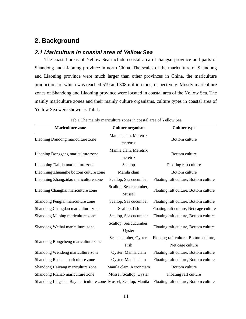# <span id="page-16-0"></span>**2. Background**

# <span id="page-16-1"></span>*2.1 Mariculture in coastal area of Yellow Sea*

The coastal areas of Yellow Sea include coastal area of Jiangsu province and parts of Shandong and Liaoning province in north China. The scales of the mariculture of Shandong and Liaoning province were much larger than other provinces in China, the mariculture productions of which was reached 519 and 308 million tons, respectively. Mostly mariculture zones of Shandong and Liaoning province were located in coastal area of the Yellow Sea. The mainly mariculture zones and their mainly culture organisms, culture types in coastal area of Yellow Sea were shown as Tab.1.

| <b>Mariculture zone</b>                                        | <b>Culture organism</b>           | <b>Culture type</b>                                        |
|----------------------------------------------------------------|-----------------------------------|------------------------------------------------------------|
| Liaoning Dandong mariculture zone                              | Manila clam, Meretrix<br>meretrix | Bottom culture                                             |
| Liaoning Donggang mariculture zone                             | Manila clam, Meretrix<br>meretrix | Bottom culture                                             |
| Liaonning Dalijia mariculture zone                             | Scallop                           | Floating raft culture                                      |
| Liaonning Zhuanghe bottom culture zone                         | Manila clam                       | Bottom culture                                             |
| Liaonning Zhangzidao mariculture zone                          | Scallop, Sea cucumber             | Floating raft culture, Bottom culture                      |
| Liaoning Changhai mariculture zone                             | Scallop, Sea cucumber,<br>Mussel  | Floating raft culture, Bottom culture                      |
| Shandong Penglai mariculture zone                              | Scallop, Sea cucumber             | Floating raft culture, Bottom culture                      |
| Shandong Changdao mariculture zone                             | Scallop, fish                     | Floating raft culture, Net cage culture                    |
| Shandong Muping mariculture zone                               | Scallop, Sea cucumber             | Floating raft culture, Bottom culture                      |
| Shandong Weihai mariculture zone                               | Scallop, Sea cucumber,<br>Oyster  | Floating raft culture, Bottom culture                      |
| Shandong Rongcheng mariculture zone                            | Sea cucumber, Oyster,<br>Fish     | Floating raft culture, Bottom culture,<br>Net cage culture |
| Shandong Wendeng mariculture zone                              | Oyster, Manila clam               | Floating raft culture, Bottom culture                      |
| Shandong Rushan mariculture zone                               | Oyster, Manila clam               | Floating raft culture, Bottom culture                      |
| Shandong Haiyang mariculture zone                              | Manila clam, Razor clam           | Bottom culture                                             |
| Shandong Rizhao mariculture zone                               | Mussel, Scallop, Oyster           | Floating raft culture                                      |
| Shandong Lingshan Bay mariculture zone Mussel, Scallop, Manila |                                   | Floating raft culture, Bottom culture                      |

Tab.1 The mainly mariculture zones in coastal area of Yellow Sea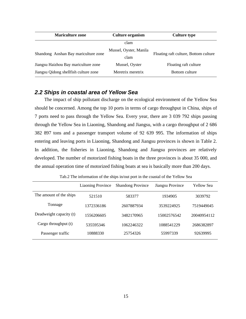| <b>Mariculture zone</b>               | <b>Culture organism</b>        | <b>Culture type</b>                   |  |
|---------------------------------------|--------------------------------|---------------------------------------|--|
|                                       | clam                           |                                       |  |
| Shandong Aoshan Bay mariculture zone  | Mussel, Oyster, Manila<br>clam | Floating raft culture, Bottom culture |  |
| Jiangsu Haizhou Bay mariculture zone  | Mussel, Oyster                 | Floating raft culture                 |  |
| Jiangsu Qidong shellfish culture zone | Meretrix meretrix              | Bottom culture                        |  |

# <span id="page-17-0"></span>*2.2 Ships in coastal area of Yellow Sea*

The impact of ship pollutant discharge on the ecological environment of the Yellow Sea should be concerned. Among the top 10 ports in terms of cargo throughput in China, ships of 7 ports need to pass through the Yellow Sea. Every year, there are 3 039 792 ships passing through the Yellow Sea in Liaoning, Shandong and Jiangsu, with a cargo throughput of 2 686 382 897 tons and a passenger transport volume of 92 639 995. The information of ships entering and leaving ports in Liaoning, Shandong and Jiangsu provinces is shown in Table 2. In addition, the fisheries in Liaoning, Shandong and Jiangsu provinces are relatively developed. The number of motorized fishing boats in the three provinces is about 35 000, and the annual operation time of motorized fishing boats at sea is basically more than 200 days.

Tab.2 The information of the ships in/out port in the coastal of the Yellow Sea

|                         | <b>Liaoning Province</b> | <b>Shandong Province</b> | Jiangsu Province | <b>Yellow Sea</b> |
|-------------------------|--------------------------|--------------------------|------------------|-------------------|
| The amount of the ships | 521510                   | 583377                   | 1934905          | 3039792           |
| Tonnage                 | 1372336186               | 2607887934               | 3539224925       | 7519449045        |
| Deadweight capacity (t) | 1556206605               | 3482170965               | 15002576542      | 20040954112       |
| Cargo throughput (t)    | 535595346                | 1062246322               | 1088541229       | 2686382897        |
| Passenger traffic       | 10888330                 | 25754326                 | 55997339         | 92639995          |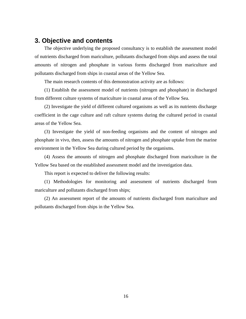# <span id="page-18-0"></span>**3. Objective and contents**

The objective underlying the proposed consultancy is to establish the assessment model of nutrients discharged from mariculture, pollutants discharged from ships and assess the total amounts of nitrogen and phosphate in various forms discharged from mariculture and pollutants discharged from ships in coastal areas of the Yellow Sea.

The main research contents of this demonstration activity are as follows:

(1) Establish the assessment model of nutrients (nitrogen and phosphate) in discharged from different culture systems of mariculture in coastal areas of the Yellow Sea.

(2) Investigate the yield of different cultured organisms as well as its nutrients discharge coefficient in the cage culture and raft culture systems during the cultured period in coastal areas of the Yellow Sea.

(3) Investigate the yield of non-feeding organisms and the content of nitrogen and phosphate in vivo, then, assess the amounts of nitrogen and phosphate uptake from the marine environment in the Yellow Sea during cultured period by the organisms.

(4) Assess the amounts of nitrogen and phosphate discharged from mariculture in the Yellow Sea based on the established assessment model and the investigation data.

This report is expected to deliver the following results:

(1) Methodologies for monitoring and assessment of nutrients discharged from mariculture and pollutants discharged from ships;

(2) An assessment report of the amounts of nutrients discharged from mariculture and pollutants discharged from ships in the Yellow Sea.

16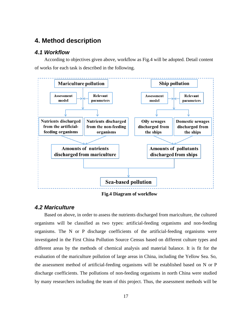# <span id="page-19-0"></span>**4. Method description**

### <span id="page-19-1"></span>*4.1 Workflow*

According to objectives given above, workflow as Fig.4 will be adopted. Detail content of works for each task is described in the following.



**Fig.4 Diagram of workflow**

### <span id="page-19-2"></span>*4.2 Mariculture*

Based on above, in order to assess the nutrients discharged from mariculture, the cultured organisms will be classified as two types: artificial-feeding organisms and non-feeding organisms. The N or P discharge coefficients of the artificial-feeding organisms were investigated in the First China Pollution Source Census based on different culture types and different areas by the methods of chemical analysis and material balance. It is fit for the evaluation of the mariculture pollution of large areas in China, including the Yellow Sea. So, the assessment method of artificial-feeding organisms will be established based on N or P discharge coefficients. The pollutions of non-feeding organisms in north China were studied by many researchers including the team of this project. Thus, the assessment methods will be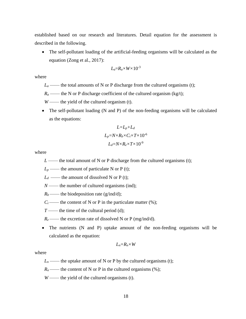established based on our research and literatures. Detail equation for the assessment is described in the following.

• The self-pollutant loading of the artificial-feeding organisms will be calculated as the equation (Zong et al., 2017):

$$
L_a = R_a \times W \times 10^{-3}
$$

where

- $L_a$ —— the total amounts of N or P discharge from the cultured organisms (t);
- $R_a$  —— the N or P discharge coefficient of the cultured organism (kg/t);
- *W* —— the yield of the cultured organism (t).
- The self-pollutant loading (N and P) of the non-feeding organisms will be calculated as the equations:

$$
L = L_p + L_d
$$
  
\n
$$
L_p = N \times R_b \times C_i \times T \times 10^{-6}
$$
  
\n
$$
L_d = N \times R_e \times T \times 10^{-9}
$$

where

- *L* —— the total amount of N or P discharge from the cultured organisms (t);
- $L_p$  —— the amount of particulate N or P (t);
- $L_d$  —— the amount of dissolved N or P (t);
- *N* —— the number of cultured organisms (ind);
- $R_b$ —— the biodeposition rate (g/ind/d);
- $C_i$ —— the content of N or P in the particulate matter  $(\%)$ ;
- *T* —— the time of the cultural period (d);
- $R_e$ —— the excretion rate of dissolved N or P (mg/ind/d).
- The nutrients (N and P) uptake amount of the non-feeding organisms will be calculated as the equation:

$$
L_n = R_n \times W
$$

where

- $L_n$ —— the uptake amount of N or P by the cultured organisms (t);
- $R_n$ —— the content of N or P in the cultured organisms  $(\%)$ ;
- *W* —— the yield of the cultured organisms (t).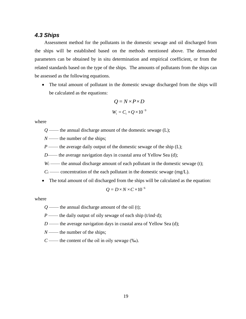### <span id="page-21-0"></span>*4.3 Ships*

Assessment method for the pollutants in the domestic sewage and oil discharged from the ships will be established based on the methods mentioned above. The demanded parameters can be obtained by in situ determination and empirical coefficient, or from the related standards based on the type of the ships. The amounts of pollutants from the ships can be assessed as the following equations.

• The total amount of pollutant in the domestic sewage discharged from the ships will be calculated as the equations:

$$
Q = N \times P \times D
$$
  
 
$$
W_i = C_i \times Q \times 10^{-9}
$$

where

*Q* —— the annual discharge amount of the domestic sewage (L);

*N* —— the number of the ships;

*P* —— the average daily output of the domestic sewage of the ship (L);

*D*—— the average navigation days in coastal area of Yellow Sea (d);

 $W_i$  —— the annual discharge amount of each pollutant in the domestic sewage (t);

 $C_i$  —— concentration of the each pollutant in the domestic sewage (mg/L).

• The total amount of oil discharged from the ships will be calculated as the equation:

$$
Q = D \times N \times C \times 10^{-6}
$$

where

*Q* —— the annual discharge amount of the oil (t);

*P* —— the daily output of oily sewage of each ship (t/ind·d);

*D* —— the average navigation days in coastal area of Yellow Sea (d);

*N* —— the number of the ships;

 $C \rightarrow$  the content of the oil in oily sewage (‰).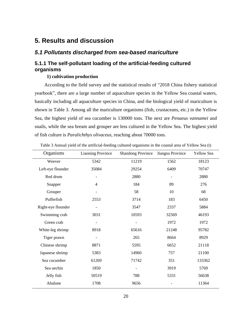# <span id="page-22-0"></span>**5. Results and discussion**

## <span id="page-22-1"></span>*5.1 Pollutants discharged from sea-based mariculture*

# <span id="page-22-2"></span>**5.1.1 The self-pollutant loading of the artificial-feeding cultured organisms**

### **1) cultivation production**

According to the field survey and the statistical results of "2018 China fishery statistical yearbook", there are a large number of aquaculture species in the Yellow Sea coastal waters, basically including all aquaculture species in China, and the biological yield of mariculture is shown in Table 3. Among all the mariculture organisms (fish, crustaceans, etc.) in the Yellow Sea, the highest yield of sea cucumber is 130000 tons. The next are *Penaeus vannamei* and snails, while the sea bream and grouper are less cultured in the Yellow Sea. The highest yield of fish culture is *Paralichthys olivaceus*, reaching about 70000 tons.

| Organisms          | <b>Liaoning Province</b> | <b>Shandong Province</b> | Jiangsu Province | <b>Yellow Sea</b> |
|--------------------|--------------------------|--------------------------|------------------|-------------------|
| Weever             | 5342                     | 11219                    | 1562             | 18123             |
| Left-eye flounder  | 35084                    | 29254                    | 6409             | 70747             |
| Red drum           |                          | 2880                     |                  | 2880              |
| Snapper            | $\overline{4}$           | 184                      | 89               | 276               |
| Grouper            |                          | 58                       | 10               | 68                |
| Pufferfish         | 2553                     | 3714                     | 183              | 6450              |
| Right-eye flounder |                          | 3547                     | 2337             | 5884              |
| Swimming crab      | 3031                     | 10593                    | 32569            | 46193             |
| Green crab         |                          |                          | 1972             | 1972              |
| White-leg shrimp   | 8918                     | 65616                    | 21248            | 95782             |
| Tiger prawn        |                          | 265                      | 8664             | 8929              |
| Chinese shrimp     | 8871                     | 5595                     | 6652             | 21118             |
| Japanese shrimp    | 5383                     | 14960                    | 757              | 21100             |
| Sea cucumber       | 61269                    | 71742                    | 351              | 133362            |
| Sea uechin         | 1850                     |                          | 3919             | 5769              |
| Jelly fish         | 50519                    | 788                      | 5331             | 56638             |
| Abalone            | 1708                     | 9656                     |                  | 11364             |

Table 3 Annual yield of the artificial-feeding cultured organisms in the coastal area of Yellow Sea (t)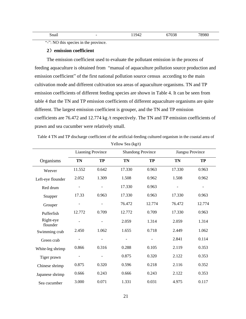| . .<br>Snail | $\overline{\phantom{0}}$ | $\sim$<br>Ч4<br>┱∠<br> | ∩ר∩ד<br>70.JG | 78980 |
|--------------|--------------------------|------------------------|---------------|-------|
|              |                          |                        |               |       |

"-": NO this species in the province.

#### **2**)**emission coefficient**

The emission coefficient used to evaluate the pollutant emission in the process of feeding aquaculture is obtained from "manual of aquaculture pollution source production and emission coefficient" of the first national pollution source census according to the main cultivation mode and different cultivation sea areas of aquaculture organisms. TN and TP emission coefficients of different feeding species are shown in Table 4. It can be seen from table 4 that the TN and TP emission coefficients of different aquaculture organisms are quite different. The largest emission coefficient is grouper, and the TN and TP emission coefficients are 76.472 and 12.774 kg /t respectively. The TN and TP emission coefficients of prawn and sea cucumber were relatively small.

Table 4 TN and TP discharge coefficient of the artificial-feeding cultured organism in the coastal area of Yellow Sea (kg/t)

|                       | <b>Liaoning Province</b> |                |        | <b>Shandong Province</b> |        | Jiangsu Province |
|-----------------------|--------------------------|----------------|--------|--------------------------|--------|------------------|
| Organisms             | TN                       | <b>TP</b>      | TN     | <b>TP</b>                | TN     | <b>TP</b>        |
| Weever                | 11.552                   | 0.642          | 17.330 | 0.963                    | 17.330 | 0.963            |
| Left-eye flounder     | 2.052                    | 1.309          | 1.508  | 0.962                    | 1.508  | 0.962            |
| Red drum              |                          |                | 17.330 | 0.963                    |        |                  |
| Snapper               | 17.33                    | 0.963          | 17.330 | 0.963                    | 17.330 | 0.963            |
| Grouper               |                          |                | 76.472 | 12.774                   | 76.472 | 12.774           |
| Pufferfish            | 12.772                   | 0.709          | 12.772 | 0.709                    | 17.330 | 0.963            |
| Right-eye<br>flounder | $\overline{\phantom{a}}$ | $\overline{a}$ | 2.059  | 1.314                    | 2.059  | 1.314            |
| Swimming crab         | 2.450                    | 1.062          | 1.655  | 0.718                    | 2.449  | 1.062            |
| Green crab            |                          |                |        |                          | 2.841  | 0.114            |
| White-leg shrimp      | 0.866                    | 0.316          | 0.288  | 0.105                    | 2.119  | 0.353            |
| Tiger prawn           |                          |                | 0.875  | 0.320                    | 2.122  | 0.353            |
| Chinese shrimp        | 0.875                    | 0.320          | 0.596  | 0.218                    | 2.116  | 0.352            |
| Japanese shrimp       | 0.666                    | 0.243          | 0.666  | 0.243                    | 2.122  | 0.353            |
| Sea cucumber          | 3.000                    | 0.071          | 1.331  | 0.031                    | 4.975  | 0.117            |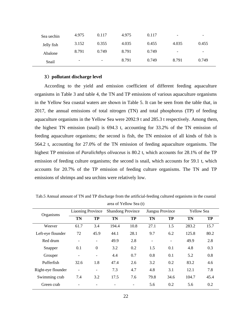| Sea uechin | 4.975                    | 0.117                    | 4.975 | 0.117 | $\overline{\phantom{0}}$ | $\overline{\phantom{0}}$ |
|------------|--------------------------|--------------------------|-------|-------|--------------------------|--------------------------|
| Jelly fish | 3.152                    | 0.355                    | 4.035 | 0.455 | 4.035                    | 0.455                    |
| Abalone    | 8.791                    | 0.749                    | 8.791 | 0.749 | $\overline{\phantom{a}}$ | -                        |
| Snail      | $\overline{\phantom{0}}$ | $\overline{\phantom{0}}$ | 8.791 | 0.749 | 8.791                    | 0.749                    |

### **3**)**pollutant discharge level**

According to the yield and emission coefficient of different feeding aquaculture organisms in Table 3 and table 4, the TN and TP emissions of various aquaculture organisms in the Yellow Sea coastal waters are shown in Table 5. It can be seen from the table that, in 2017, the annual emissions of total nitrogen (TN) and total phosphorus (TP) of feeding aquaculture organisms in the Yellow Sea were 2092.9 t and 285.3 t respectively. Among them, the highest TN emission (snail) is 694.3 t, accounting for 33.2% of the TN emission of feeding aquaculture organisms; the second is fish, the TN emission of all kinds of fish is 564.2 t, accounting for 27.0% of the TN emission of feeding aquaculture organisms. The highest TP emission of *Paralichthys olivaceus* is 80.2 t, which accounts for 28.1% of the TP emission of feeding culture organisms; the second is snail, which accounts for 59.1 t, which accounts for 20.7% of the TP emission of feeding culture organisms. The TN and TP emissions of shrimps and sea urchins were relatively low.

|                    | <b>Liaoning Province</b> |                          |           | <b>Shandong Province</b> |           | Jiangsu Province         |           | <b>Yellow Sea</b> |  |
|--------------------|--------------------------|--------------------------|-----------|--------------------------|-----------|--------------------------|-----------|-------------------|--|
| Organisms          | <b>TN</b>                | TP                       | <b>TN</b> | TP                       | <b>TN</b> | TP                       | <b>TN</b> | <b>TP</b>         |  |
| Weever             | 61.7                     | 3.4                      | 194.4     | 10.8                     | 27.1      | 1.5                      | 283.2     | 15.7              |  |
| Left-eye flounder  | 72                       | 45.9                     | 44.1      | 28.1                     | 9.7       | 6.2                      | 125.8     | 80.2              |  |
| Red drum           | $\overline{a}$           | $\overline{\phantom{0}}$ | 49.9      | 2.8                      |           | $\overline{\phantom{0}}$ | 49.9      | 2.8               |  |
| Snapper            | 0.1                      | $\boldsymbol{0}$         | 3.2       | 0.2                      | 1.5       | 0.1                      | 4.8       | 0.3               |  |
| Grouper            | $\overline{\phantom{0}}$ | $\overline{\phantom{a}}$ | 4.4       | 0.7                      | 0.8       | 0.1                      | 5.2       | 0.8               |  |
| Pufferfish         | 32.6                     | 1.8                      | 47.4      | 2.6                      | 3.2       | 0.2                      | 83.2      | 4.6               |  |
| Right-eye flounder | $\overline{\phantom{0}}$ | $\overline{\phantom{a}}$ | 7.3       | 4.7                      | 4.8       | 3.1                      | 12.1      | 7.8               |  |
| Swimming crab      | 7.4                      | 3.2                      | 17.5      | 7.6                      | 79.8      | 34.6                     | 104.7     | 45.4              |  |
| Green crab         |                          |                          |           | $\overline{\phantom{a}}$ | 5.6       | 0.2                      | 5.6       | 0.2               |  |

Tab.5 Annual amount of TN and TP discharge from the artificial-feeding cultured organisms in the coastal area of Yellow Sea (t)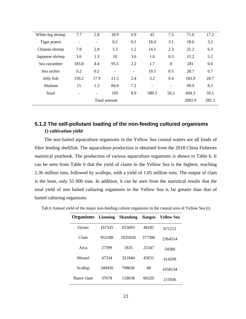| White-leg shrimp | 7.7             | 2.8                      | 18.9                     | 6.9               | 45    | 7.5               | 71.6   | 17.2  |
|------------------|-----------------|--------------------------|--------------------------|-------------------|-------|-------------------|--------|-------|
| Tiger prawn      | $\overline{a}$  | $\overline{\phantom{a}}$ | 0.2                      | 0.1               | 18.4  | 3.1               | 18.6   | 3.2   |
| Chinese shrimp   | 7.8             | 2.8                      | 3.3                      | 1.2               | 14.1  | 2.3               | 25.2   | 6.3   |
| Japanese shrimp  | 3.6             | 1.3                      | 10                       | 3.6               | 1.6   | 0.3               | 15.2   | 5.2   |
| Sea cucumber     | 183.8           | 4.4                      | 95.5                     | 2.2               | 1.7   | $\boldsymbol{0}$  | 281    | 6.6   |
| Sea urchin       | 9.2             | 0.2                      | $\overline{\phantom{a}}$ | $\qquad \qquad -$ | 19.5  | 0.5               | 28.7   | 0.7   |
| Jelly fish       | 159.2           | 17.9                     | 21.5                     | 2.4               | 3.2   | 0.4               | 183.9  | 20.7  |
| Abalone          | 15              | 1.3                      | 84.9                     | 7.2               | -     | $\qquad \qquad -$ | 99.9   | 8.5   |
| Snail            | $\qquad \qquad$ | $\overline{\phantom{a}}$ | 105                      | 8.9               | 589.3 | 50.2              | 694.3  | 59.1  |
|                  |                 |                          | Total amount             |                   |       |                   | 2092.9 | 285.3 |
|                  |                 |                          |                          |                   |       |                   |        |       |

# <span id="page-25-0"></span>**5.1.2 The self-pollutant loading of the non-feeding cultured organisms 1) cultivation yield**

The non baited aquaculture organisms in the Yellow Sea coastal waters are all kinds of filter feeding shellfish. The aquaculture production is obtained from the 2018 China Fisheries statistical yearbook. The production of various aquaculture organisms is shown in Table 6. It can be seen from Table 6 that the yield of clams in the Yellow Sea is the highest, reaching 2.36 million tons, followed by scallops, with a yield of 1.05 million tons. The output of clam is the least, only 55 000 tons. In addition, it can be seen from the statistical results that the total yield of non baited culturing organisms in the Yellow Sea is far greater than that of baited culturing organisms.

| <b>Organisms</b> | <b>Liaoning</b> | <b>Shandong</b> | <b>Jiangsu</b> | <b>Yellow Sea</b> |
|------------------|-----------------|-----------------|----------------|-------------------|
| Oyster           | 167335          | 655693          | 48185          | 871213            |
| Clam             | 952188          | 1035020         | 377306         | 2364514           |
| Arca             | 27399           | 1835            | 25347          | 54580             |
| <b>Mussel</b>    | 47334           | 321844          | 45031          | 414209            |
| Scallop          | 349450          | 708636          | 48             | 1058134           |
| Razor clam       | 37678           | 118038          | 60220          | 215936            |

Tab.6 Annual yield of the major non-feeding culture organisms in the coastal area of Yellow Sea (t)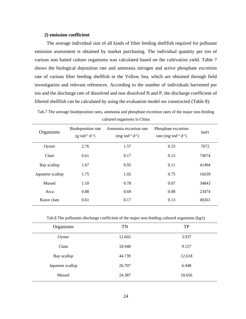### **2) emission coefficient**

The average individual size of all kinds of filter feeding shellfish required for pollutant emission assessment is obtained by market purchasing. The individual quantity per ton of various non baited culture organisms was calculated based on the cultivation yield. Table 7 shows the biological deposition rate and ammonia nitrogen and active phosphate excretion rate of various filter feeding shellfish in the Yellow Sea, which are obtained through field investigation and relevant references. According to the number of individuals harvested per ton and the discharge rate of dissolved and non dissolved N and P, the discharge coefficient of filtered shellfish can be calculated by using the evaluation model we constructed (Table 8).

Tab.7 The average biodeposition rates, ammonia and phosphate excretion rates of the major non-feeding cultured organisms in China

| Organisms        | Biodeposition rate<br>$(g\cdot ind^{-1}\cdot d^{-1})$ | Ammonia excretion rate<br>$(mg\cdot ind^{-1}\cdot d^{-1})$ | Phosphate excretion<br>rate $(mg\cdot ind^{-1}\cdot d^{-1})$ | Ind/t |
|------------------|-------------------------------------------------------|------------------------------------------------------------|--------------------------------------------------------------|-------|
| Oyster           | 2.76                                                  | 1.57                                                       | 0.33                                                         | 7072  |
| Clam             | 0.61                                                  | 0.17                                                       | 0.13                                                         | 74074 |
| Bay scallop      | 1.67                                                  | 0.95                                                       | 0.11                                                         | 41494 |
| Japanese scallop | 1.75                                                  | 1.02                                                       | 0.75                                                         | 16639 |
| Mussel           | 1.10                                                  | 0.78                                                       | 0.07                                                         | 34843 |
| Arca             | 0.88                                                  | 0.69                                                       | 0.08                                                         | 23474 |
| Razor clam       | 0.61                                                  | 0.17                                                       | 0.13                                                         | 49261 |

Tab.8 The pollutants discharge coefficient of the major non-feeding cultured organisms  $(kg/t)$ 

| Organisms        | <b>TN</b> | <b>TP</b> |
|------------------|-----------|-----------|
| Oyster           | 12.602    | 3.937     |
| Clam             | 18.948    | 9.157     |
| Bay scallop      | 44.739    | 12.618    |
| Japanese scallop | 26.707    | 6.948     |
| Mussel           | 24.387    | 10.656    |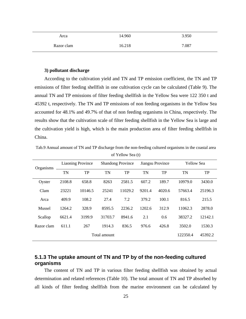| Arca       | 14.960 | 3.950 |
|------------|--------|-------|
| Razor clam | 16.218 | 7.087 |

### **3) pollutant discharge**

According to the cultivation yield and TN and TP emission coefficient, the TN and TP emissions of filter feeding shellfish in one cultivation cycle can be calculated (Table 9). The annual TN and TP emissions of filter feeding shellfish in the Yellow Sea were 122 350 t and 45392 t, respectively. The TN and TP emissions of non feeding organisms in the Yellow Sea accounted for 48.1% and 49.7% of that of non feeding organisms in China, respectively. The results show that the cultivation scale of filter feeding shellfish in the Yellow Sea is large and the cultivation yield is high, which is the main production area of filter feeding shellfish in China.

Tab.9 Annual amount of TN and TP discharge from the non-feeding cultured organisms in the coastal area of Yellow Sea (t)

| <b>Organisms</b> | <b>Liaoning Province</b> |         | <b>Shandong Province</b> |         | Jiangsu Province |        | <b>Yellow Sea</b> |           |
|------------------|--------------------------|---------|--------------------------|---------|------------------|--------|-------------------|-----------|
|                  | <b>TN</b>                | TP      | <b>TN</b>                | TP      | <b>TN</b>        | TP     | <b>TN</b>         | <b>TP</b> |
| Oyster           | 2108.8                   | 658.8   | 8263                     | 2581.5  | 607.2            | 189.7  | 10979.0           | 3430.0    |
| Clam             | 23221                    | 10146.5 | 25241                    | 11029.2 | 9201.4           | 4020.6 | 57663.4           | 25196.3   |
| Arca             | 409.9                    | 108.2   | 27.4                     | 7.2     | 379.2            | 100.1  | 816.5             | 215.5     |
| <b>Mussel</b>    | 1264.2                   | 328.9   | 8595.5                   | 2236.2  | 1202.6           | 312.9  | 11062.3           | 2878.0    |
| Scallop          | 6621.4                   | 3199.9  | 31703.7                  | 8941.6  | 2.1              | 0.6    | 38327.2           | 12142.1   |
| Razor clam       | 611.1                    | 267     | 1914.3                   | 836.5   | 976.6            | 426.8  | 3502.0            | 1530.3    |
|                  |                          |         | Total amount             |         |                  |        | 122350.4          | 45392.2   |

## <span id="page-27-0"></span>**5.1.3 The uptake amount of TN and TP by of the non-feeding cultured organisms**

The content of TN and TP in various filter feeding shellfish was obtained by actual determination and related references (Table 10). The total amount of TN and TP absorbed by all kinds of filter feeding shellfish from the marine environment can be calculated by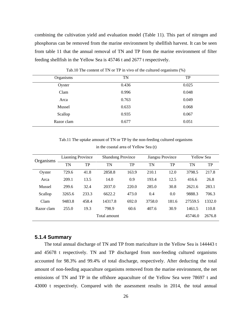combining the cultivation yield and evaluation model (Table 11). This part of nitrogen and phosphorus can be removed from the marine environment by shellfish harvest. It can be seen from table 11 that the annual removal of TN and TP from the marine environment of filter feeding shellfish in the Yellow Sea is 45746 t and 2677 t respectively.

| Organisms  | <b>TN</b> | <b>TP</b> |
|------------|-----------|-----------|
| Oyster     | 0.436     | 0.025     |
| Clam       | 0.996     | 0.048     |
| Arca       | 0.763     | 0.049     |
| Mussel     | 0.633     | 0.068     |
| Scallop    | 0.935     | 0.067     |
| Razor clam | 0.677     | 0.051     |
|            |           |           |

Tab.10 The content of TN or TP in vivo of the cultured organisms (%)

Tab.11 The uptake amount of TN or TP by the non-feeding cultured organisms in the coastal area of Yellow Sea (t)

| Organisms  | <b>Liaoning Province</b> |       |              | <b>Shandong Province</b> |        | Jiangsu Province |         | <b>Yellow Sea</b> |  |
|------------|--------------------------|-------|--------------|--------------------------|--------|------------------|---------|-------------------|--|
|            | <b>TN</b>                | TP    | TN           | TP                       | TN     | TP               | TN      | TP                |  |
| Oyster     | 729.6                    | 41.8  | 2858.8       | 163.9                    | 210.1  | 12.0             | 3798.5  | 217.8             |  |
| Arca       | 209.1                    | 13.5  | 14.0         | 0.9                      | 193.4  | 12.5             | 416.6   | 26.8              |  |
| Mussel     | 299.6                    | 32.4  | 2037.0       | 220.0                    | 285.0  | 30.8             | 2621.6  | 283.1             |  |
| Scallop    | 3265.6                   | 233.3 | 6622.2       | 473.0                    | 0.4    | 0.0              | 9888.3  | 706.3             |  |
| Clam       | 9483.8                   | 458.4 | 14317.8      | 692.0                    | 3758.0 | 181.6            | 27559.5 | 1332.0            |  |
| Razor clam | 255.0                    | 19.3  | 798.9        | 60.6                     | 407.6  | 30.9             | 1461.5  | 110.8             |  |
|            |                          |       | Total amount |                          |        |                  | 45746.0 | 2676.8            |  |

### <span id="page-28-0"></span>**5.1.4 Summary**

The total annual discharge of TN and TP from mariculture in the Yellow Sea is 144443 t and 45678 t respectively. TN and TP discharged from non-feeding cultured organisms accounted for 98.3% and 99.4% of total discharge, respectively. After deducting the total amount of non-feeding aquaculture organisms removed from the marine environment, the net emissions of TN and TP in the offshore aquaculture of the Yellow Sea were 78697 t and 43000 t respectively. Compared with the assessment results in 2014, the total annual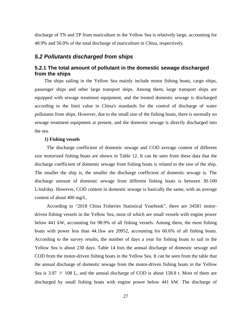discharge of TN and TP from mariculture in the Yellow Sea is relatively large, accounting for 48.9% and 50.0% of the total discharge of mariculture in China, respectively.

### <span id="page-29-0"></span>*5.2 Pollutants discharged from ships*

### <span id="page-29-1"></span>**5.2.1 The total amount of pollutant in the domestic sewage discharged from the ships**

The ships sailing in the Yellow Sea mainly include motor fishing boats, cargo ships, passenger ships and other large transport ships. Among them, large transport ships are equipped with sewage treatment equipment, and the treated domestic sewage is discharged according to the limit value in China's standards for the control of discharge of water pollutants from ships. However, due to the small size of the fishing boats, there is normally no sewage treatment equipment at present, and the domestic sewage is directly discharged into the sea.

### **1) Fishing vessels**

The discharge coefficient of domestic sewage and COD average content of different size motorized fishing boats are shown in Table 12. It can be seen from these data that the discharge coefficient of domestic sewage from fishing boats is related to the size of the ship. The smaller the ship is, the smaller the discharge coefficient of domestic sewage is. The discharge amount of domestic sewage from different fishing boats is between 30-100 L/ind/day. However, COD content in domestic sewage is basically the same, with an average content of about 400 mg/L.

According to "2018 China Fisheries Statistical Yearbook", there are 34581 motordriven fishing vessels in the Yellow Sea, most of which are small vessels with engine power below 441 kW, accounting for 98.9% of all fishing vessels. Among them, the most fishing boats with power less than 44.1kw are 20952, accounting for 60.6% of all fishing boats. According to the survey results, the number of days a year for fishing boats to sail in the Yellow Sea is about 230 days. Table 14 lists the annual discharge of domestic sewage and COD from the motor-driven fishing boats in the Yellow Sea. It can be seen from the table that the annual discharge of domestic sewage from the motor-driven fishing boats in the Yellow Sea is 3.97  $\times$  108 L, and the annual discharge of COD is about 158.8 t. Most of them are discharged by small fishing boats with engine power below 441 kW. The discharge of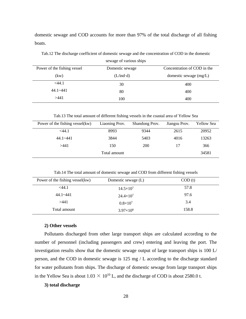domestic sewage and COD accounts for more than 97% of the total discharge of all fishing boats.

|                             | SURAGE OF VALIOUS SHIPS |                             |
|-----------------------------|-------------------------|-----------------------------|
| Power of the fishing vessel | Domestic sewage         | Concentration of COD in the |
| (kw)                        | $(L/ind \cdot d)$       | domestic sewage $(mg/L)$    |
| $<$ 44.1                    | 30                      | 400                         |
| $44.1 - 441$                | 80                      | 400                         |
| >441                        | 100                     | 400                         |

Tab.12 The discharge coefficient of domestic sewage and the concentration of COD in the domestic sewage of various ships

Tab.13 The total amount of different fishing vessels in the coastal area of Yellow Sea

| Power of the fishing vessel(kw) | Liaoning Prov. | Shandong Prov. | Jiangsu Prov. | <b>Yellow Sea</b> |
|---------------------------------|----------------|----------------|---------------|-------------------|
| $<$ 44.1                        | 8993           | 9344           | 2615          | 20952             |
| $44.1 - 441$                    | 3844           | 5403           | 4016          | 13263             |
| >441                            | 150            | 200            | 17            | 366               |
|                                 | Total amount   |                |               | 34581             |

Tab.14 The total amount of domestic sewage and COD from different fishing vessels

| Power of the fishing vessel(kw) | Domestic sewage (L)  | COD(t) |
|---------------------------------|----------------------|--------|
| $<$ 44.1                        | $14.5 \times 10^{7}$ | 57.8   |
| $44.1 - 441$                    | $24.4 \times 10^{7}$ | 97.6   |
| >441                            | $0.8\times10^{7}$    | 3.4    |
| Total amount                    | $3.97\times10^{8}$   | 158.8  |

#### **2) Other vessels**

Pollutants discharged from other large transport ships are calculated according to the number of personnel (including passengers and crew) entering and leaving the port. The investigation results show that the domestic sewage output of large transport ships is 100 L/ person, and the COD in domestic sewage is 125 mg / L according to the discharge standard for water pollutants from ships. The discharge of domestic sewage from large transport ships in the Yellow Sea is about  $1.03 \times 10^{10}$  L, and the discharge of COD is about 2580.0 t.

### **3) total discharge**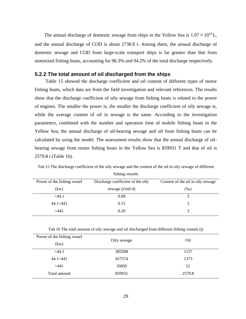The annual discharge of domestic sewage from ships in the Yellow Sea is  $1.07 \times 10^{10}$ L, and the annual discharge of COD is about 2738.8 t. Among them, the annual discharge of domestic sewage and COD from large-scale transport ships is far greater than that from motorized fishing boats, accounting for 96.3% and 94.2% of the total discharge respectively.

### <span id="page-31-0"></span>**5.2.2 The total amount of oil discharged from the ships**

Table 15 showed the discharge coefficient and oil content of different types of motor fishing boats, which data are from the field investigation and relevant references. The results show that the discharge coefficient of oily sewage from fishing boats is related to the power of engines. The smaller the power is, the smaller the discharge coefficient of oily sewage is, while the average content of oil in sewage is the same. According to the investigation parameters, combined with the number and operation time of mobile fishing boats in the Yellow Sea, the annual discharge of oil-bearing sewage and oil from fishing boats can be calculated by using the model. The assessment results show that the annual discharge of oilbearing sewage from motor fishing boats in the Yellow Sea is 859931 T and that of oil is 2579.8 t (Table 16).

| Power of the fishing vessel | Discharge coefficient of the oily | Content of the oil in oily sewage |
|-----------------------------|-----------------------------------|-----------------------------------|
| (kw)                        | sewage $(t/ind \cdot d)$          | $(\%0)$                           |
| $<$ 44.1                    | 0.08                              |                                   |
| $44.1 - 441$                | 0.15                              |                                   |
| >441                        | 0.20                              |                                   |

Tab.15 The discharge coefficient of the oily sewage and the content of the oil in oily sewage of different fishing vessels

Tab.16 The total amount of oily sewage and oil discharged from different fishing vessels (t)

| Power of the fishing vessel | Oily sewage | Oil    |
|-----------------------------|-------------|--------|
| (kw)                        |             |        |
| $<$ 44.1                    | 385508      | 1157   |
| $44.1 - 441$                | 457574      | 1373   |
| >441                        | 16850       | 51     |
| Total amount                | 859931      | 2579.8 |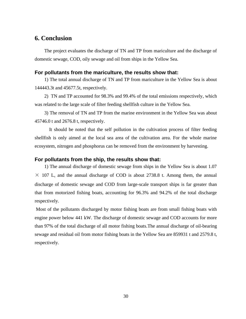# <span id="page-32-0"></span>**6. Conclusion**

The project evaluates the discharge of TN and TP from mariculture and the discharge of domestic sewage, COD, oily sewage and oil from ships in the Yellow Sea.

### **For pollutants from the mariculture, the results show that:**

1) The total annual discharge of TN and TP from mariculture in the Yellow Sea is about 144443.3t and 45677.5t, respectively.

2) TN and TP accounted for 98.3% and 99.4% of the total emissions respectively, which was related to the large scale of filter feeding shellfish culture in the Yellow Sea.

3) The removal of TN and TP from the marine environment in the Yellow Sea was about 45746.0 t and 2676.8 t, respectively.

It should be noted that the self pollution in the cultivation process of filter feeding shellfish is only aimed at the local sea area of the cultivation area. For the whole marine ecosystem, nitrogen and phosphorus can be removed from the environment by harvesting.

### **For pollutants from the ship, the results show that:**

1) The annual discharge of domestic sewage from ships in the Yellow Sea is about 1.07  $\times$  107 L, and the annual discharge of COD is about 2738.8 t. Among them, the annual discharge of domestic sewage and COD from large-scale transport ships is far greater than that from motorized fishing boats, accounting for 96.3% and 94.2% of the total discharge respectively.

Most of the pollutants discharged by motor fishing boats are from small fishing boats with engine power below 441 kW. The discharge of domestic sewage and COD accounts for more than 97% of the total discharge of all motor fishing boats.The annual discharge of oil-bearing sewage and residual oil from motor fishing boats in the Yellow Sea are 859931 t and 2579.8 t, respectively.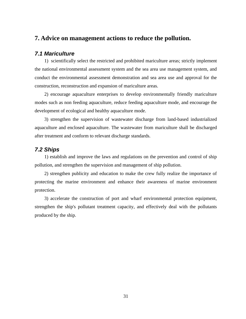# <span id="page-33-0"></span>**7. Advice on management actions to reduce the pollution.**

### <span id="page-33-1"></span>*7.1 Mariculture*

1) scientifically select the restricted and prohibited mariculture areas; strictly implement the national environmental assessment system and the sea area use management system, and conduct the environmental assessment demonstration and sea area use and approval for the construction, reconstruction and expansion of mariculture areas.

2) encourage aquaculture enterprises to develop environmentally friendly mariculture modes such as non feeding aquaculture, reduce feeding aquaculture mode, and encourage the development of ecological and healthy aquaculture mode.

3) strengthen the supervision of wastewater discharge from land-based industrialized aquaculture and enclosed aquaculture. The wastewater from mariculture shall be discharged after treatment and conform to relevant discharge standards.

### <span id="page-33-2"></span>*7.2 Ships*

1) establish and improve the laws and regulations on the prevention and control of ship pollution, and strengthen the supervision and management of ship pollution.

2) strengthen publicity and education to make the crew fully realize the importance of protecting the marine environment and enhance their awareness of marine environment protection.

3) accelerate the construction of port and wharf environmental protection equipment, strengthen the ship's pollutant treatment capacity, and effectively deal with the pollutants produced by the ship.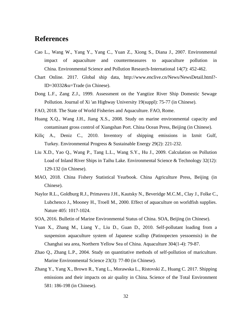# <span id="page-34-0"></span>**References**

- Cao L., Wang W., Yang Y., Yang C., Yuan Z., Xiong S., Diana J., 2007. Environmental impact of aquaculture and countermeasures to aquaculture pollution in China. Environmental Science and Pollution Research-International 14(7): 452-462.
- Chart Online. 2017. Global ship data, http://www.enclive.cn/News/NewsDetail.html?- ID=30332&u=Trade (in Chinese).
- Dong L.F., Zang Z.J., 1999. Assessment on the Yangtize River Ship Domestic Sewage Pollution. Journal of Xi 'an Highway University 19(suppl): 75-77 (in Chinese).
- FAO, 2018. The State of World Fisheries and Aquaculture. FAO, Rome.
- Huang X.Q., Wang J.H., Jiang X.S., 2008. Study on marine environmental capacity and contaminant gross control of Xiangshan Port. China Ocean Press, Beijing (in Chinese).
- Kiliç A., Deniz C., 2010. Inventory of shipping emissions in Izmit Gulf, Turkey. Environmental Progress & Sustainable Energy 29(2): 221-232.
- Liu X.D., Yao Q., Wang P., Tang L.L., Wang S.Y., Hu J., 2009. Calculation on Pollution Load of Inland River Ships in Taihu Lake. Environmental Science & Technology 32(12): 129-132 (in Chinese).
- MAO, 2018. China Fishery Statistical Yearbook. China Agriculture Press, Beijing (in Chinese).
- Naylor R.L., Goldburg R.J., Primavera J.H., Kautsky N., Beveridge M.C.M., Clay J., Folke C., Lubchenco J., Mooney H., Troell M., 2000. Effect of aquaculture on worldfish supplies. Nature 405: 1017-1024.
- SOA, 2016. Bulletin of Marine Environmental Status of China. SOA, Beijing (in Chinese).
- Yuan X., Zhang M., Liang Y., Liu D., Guan D., 2010. Self-pollutant loading from a suspension aquaculture system of Japanese scallop (Patinopecten yessoensis) in the Changhai sea area, Northern Yellow Sea of China. Aquaculture 304(1-4): 79-87.
- Zhao Q., Zhang L.P., 2004. Study on quantitative methods of self-pollution of mariculture. Marine Environmental Science 23(3): 77-80 (in Chinese).
- Zhang Y., Yang X., Brown R., Yang L., Morawska L., Ristovski Z., Huang C. 2017. Shipping emissions and their impacts on air quality in China. Science of the Total Environment 581: 186-198 (in Chinese).